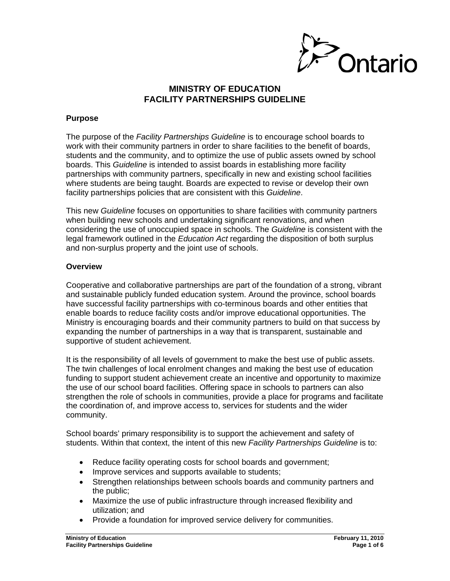

## **MINISTRY OF EDUCATION FACILITY PARTNERSHIPS GUIDELINE**

#### **Purpose**

The purpose of the *Facility Partnerships Guideline* is to encourage school boards to work with their community partners in order to share facilities to the benefit of boards, students and the community, and to optimize the use of public assets owned by school boards. This *Guideline* is intended to assist boards in establishing more facility partnerships with community partners, specifically in new and existing school facilities where students are being taught. Boards are expected to revise or develop their own facility partnerships policies that are consistent with this *Guideline*.

This new *Guideline* focuses on opportunities to share facilities with community partners when building new schools and undertaking significant renovations, and when considering the use of unoccupied space in schools. The *Guideline* is consistent with the legal framework outlined in the *Education Act* regarding the disposition of both surplus and non-surplus property and the joint use of schools.

#### **Overview**

Cooperative and collaborative partnerships are part of the foundation of a strong, vibrant and sustainable publicly funded education system. Around the province, school boards have successful facility partnerships with co-terminous boards and other entities that enable boards to reduce facility costs and/or improve educational opportunities. The Ministry is encouraging boards and their community partners to build on that success by expanding the number of partnerships in a way that is transparent, sustainable and supportive of student achievement.

It is the responsibility of all levels of government to make the best use of public assets. The twin challenges of local enrolment changes and making the best use of education funding to support student achievement create an incentive and opportunity to maximize the use of our school board facilities. Offering space in schools to partners can also strengthen the role of schools in communities, provide a place for programs and facilitate the coordination of, and improve access to, services for students and the wider community.

School boards' primary responsibility is to support the achievement and safety of students. Within that context, the intent of this new *Facility Partnerships Guideline* is to:

- Reduce facility operating costs for school boards and government;
- Improve services and supports available to students;
- Strengthen relationships between schools boards and community partners and the public;
- Maximize the use of public infrastructure through increased flexibility and utilization; and
- Provide a foundation for improved service delivery for communities.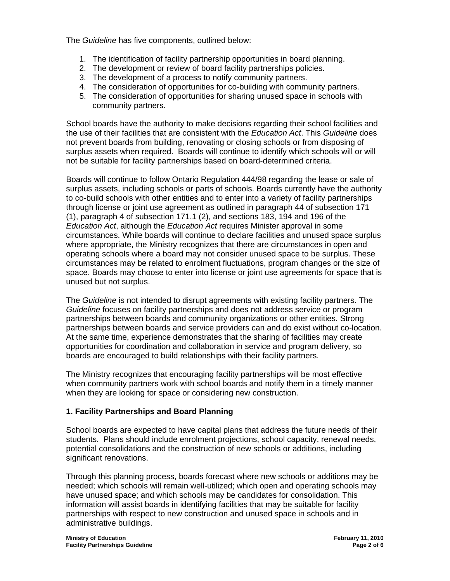The *Guideline* has five components, outlined below:

- 1. The identification of facility partnership opportunities in board planning.
- 2. The development or review of board facility partnerships policies.
- 3. The development of a process to notify community partners.
- 4. The consideration of opportunities for co-building with community partners.
- 5. The consideration of opportunities for sharing unused space in schools with community partners.

School boards have the authority to make decisions regarding their school facilities and the use of their facilities that are consistent with the *Education Act*. This *Guideline* does not prevent boards from building, renovating or closing schools or from disposing of surplus assets when required. Boards will continue to identify which schools will or will not be suitable for facility partnerships based on board-determined criteria.

Boards will continue to follow Ontario Regulation 444/98 regarding the lease or sale of surplus assets, including schools or parts of schools. Boards currently have the authority to co-build schools with other entities and to enter into a variety of facility partnerships through license or joint use agreement as outlined in paragraph 44 of subsection 171 (1), paragraph 4 of subsection 171.1 (2), and sections 183, 194 and 196 of the *Education Act*, although the *Education Act* requires Minister approval in some circumstances. While boards will continue to declare facilities and unused space surplus where appropriate, the Ministry recognizes that there are circumstances in open and operating schools where a board may not consider unused space to be surplus. These circumstances may be related to enrolment fluctuations, program changes or the size of space. Boards may choose to enter into license or joint use agreements for space that is unused but not surplus.

The *Guideline* is not intended to disrupt agreements with existing facility partners. The *Guideline* focuses on facility partnerships and does not address service or program partnerships between boards and community organizations or other entities. Strong partnerships between boards and service providers can and do exist without co-location. At the same time, experience demonstrates that the sharing of facilities may create opportunities for coordination and collaboration in service and program delivery, so boards are encouraged to build relationships with their facility partners.

The Ministry recognizes that encouraging facility partnerships will be most effective when community partners work with school boards and notify them in a timely manner when they are looking for space or considering new construction.

# **1. Facility Partnerships and Board Planning**

School boards are expected to have capital plans that address the future needs of their students. Plans should include enrolment projections, school capacity, renewal needs, potential consolidations and the construction of new schools or additions, including significant renovations.

Through this planning process, boards forecast where new schools or additions may be needed; which schools will remain well-utilized; which open and operating schools may have unused space; and which schools may be candidates for consolidation. This information will assist boards in identifying facilities that may be suitable for facility partnerships with respect to new construction and unused space in schools and in administrative buildings.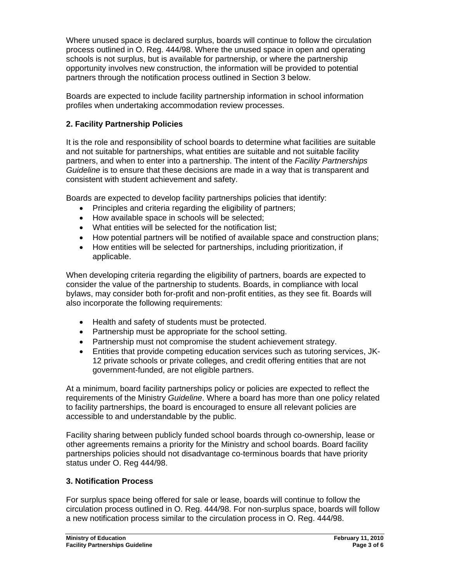Where unused space is declared surplus, boards will continue to follow the circulation process outlined in O. Reg. 444/98. Where the unused space in open and operating schools is not surplus, but is available for partnership, or where the partnership opportunity involves new construction, the information will be provided to potential partners through the notification process outlined in Section 3 below.

Boards are expected to include facility partnership information in school information profiles when undertaking accommodation review processes.

## **2. Facility Partnership Policies**

It is the role and responsibility of school boards to determine what facilities are suitable and not suitable for partnerships, what entities are suitable and not suitable facility partners, and when to enter into a partnership. The intent of the *Facility Partnerships Guideline* is to ensure that these decisions are made in a way that is transparent and consistent with student achievement and safety.

Boards are expected to develop facility partnerships policies that identify:

- Principles and criteria regarding the eligibility of partners;
- How available space in schools will be selected;
- What entities will be selected for the notification list;
- How potential partners will be notified of available space and construction plans;
- How entities will be selected for partnerships, including prioritization, if applicable.

When developing criteria regarding the eligibility of partners, boards are expected to consider the value of the partnership to students. Boards, in compliance with local bylaws, may consider both for-profit and non-profit entities, as they see fit. Boards will also incorporate the following requirements:

- Health and safety of students must be protected.
- Partnership must be appropriate for the school setting.
- Partnership must not compromise the student achievement strategy.
- Entities that provide competing education services such as tutoring services, JK-12 private schools or private colleges, and credit offering entities that are not government-funded, are not eligible partners.

At a minimum, board facility partnerships policy or policies are expected to reflect the requirements of the Ministry *Guideline*. Where a board has more than one policy related to facility partnerships, the board is encouraged to ensure all relevant policies are accessible to and understandable by the public.

Facility sharing between publicly funded school boards through co-ownership, lease or other agreements remains a priority for the Ministry and school boards. Board facility partnerships policies should not disadvantage co-terminous boards that have priority status under O. Reg 444/98.

# **3. Notification Process**

For surplus space being offered for sale or lease, boards will continue to follow the circulation process outlined in O. Reg. 444/98. For non-surplus space, boards will follow a new notification process similar to the circulation process in O. Reg. 444/98.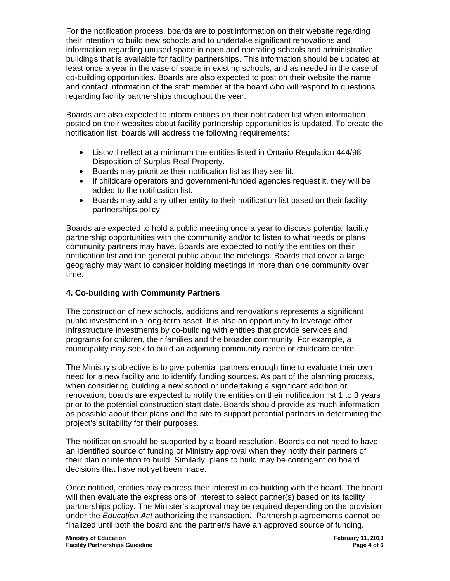For the notification process, boards are to post information on their website regarding their intention to build new schools and to undertake significant renovations and information regarding unused space in open and operating schools and administrative buildings that is available for facility partnerships. This information should be updated at least once a year in the case of space in existing schools, and as needed in the case of co-building opportunities. Boards are also expected to post on their website the name and contact information of the staff member at the board who will respond to questions regarding facility partnerships throughout the year.

Boards are also expected to inform entities on their notification list when information posted on their websites about facility partnership opportunities is updated. To create the notification list, boards will address the following requirements:

- List will reflect at a minimum the entities listed in Ontario Regulation 444/98 Disposition of Surplus Real Property.
- Boards may prioritize their notification list as they see fit.
- If childcare operators and government-funded agencies request it, they will be added to the notification list.
- Boards may add any other entity to their notification list based on their facility partnerships policy.

Boards are expected to hold a public meeting once a year to discuss potential facility partnership opportunities with the community and/or to listen to what needs or plans community partners may have. Boards are expected to notify the entities on their notification list and the general public about the meetings. Boards that cover a large geography may want to consider holding meetings in more than one community over time.

## **4. Co-building with Community Partners**

The construction of new schools, additions and renovations represents a significant public investment in a long-term asset. It is also an opportunity to leverage other infrastructure investments by co-building with entities that provide services and programs for children, their families and the broader community. For example, a municipality may seek to build an adjoining community centre or childcare centre.

The Ministry's objective is to give potential partners enough time to evaluate their own need for a new facility and to identify funding sources. As part of the planning process, when considering building a new school or undertaking a significant addition or renovation, boards are expected to notify the entities on their notification list 1 to 3 years prior to the potential construction start date. Boards should provide as much information as possible about their plans and the site to support potential partners in determining the project's suitability for their purposes.

The notification should be supported by a board resolution. Boards do not need to have an identified source of funding or Ministry approval when they notify their partners of their plan or intention to build. Similarly, plans to build may be contingent on board decisions that have not yet been made.

Once notified, entities may express their interest in co-building with the board. The board will then evaluate the expressions of interest to select partner(s) based on its facility partnerships policy. The Minister's approval may be required depending on the provision under the *Education Act* authorizing the transaction. Partnership agreements cannot be finalized until both the board and the partner/s have an approved source of funding.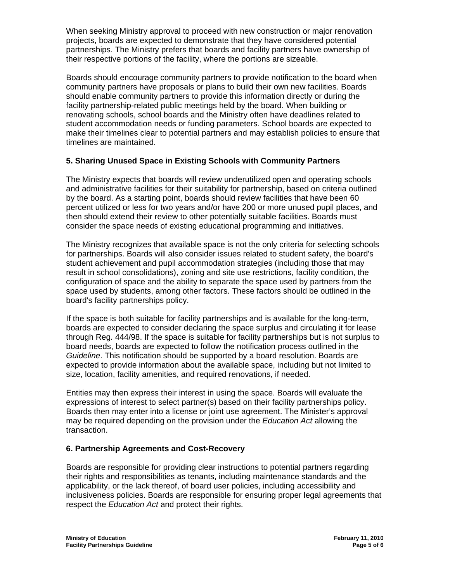When seeking Ministry approval to proceed with new construction or major renovation projects, boards are expected to demonstrate that they have considered potential partnerships. The Ministry prefers that boards and facility partners have ownership of their respective portions of the facility, where the portions are sizeable.

Boards should encourage community partners to provide notification to the board when community partners have proposals or plans to build their own new facilities. Boards should enable community partners to provide this information directly or during the facility partnership-related public meetings held by the board. When building or renovating schools, school boards and the Ministry often have deadlines related to student accommodation needs or funding parameters. School boards are expected to make their timelines clear to potential partners and may establish policies to ensure that timelines are maintained.

# **5. Sharing Unused Space in Existing Schools with Community Partners**

The Ministry expects that boards will review underutilized open and operating schools and administrative facilities for their suitability for partnership, based on criteria outlined by the board. As a starting point, boards should review facilities that have been 60 percent utilized or less for two years and/or have 200 or more unused pupil places, and then should extend their review to other potentially suitable facilities. Boards must consider the space needs of existing educational programming and initiatives.

The Ministry recognizes that available space is not the only criteria for selecting schools for partnerships. Boards will also consider issues related to student safety, the board's student achievement and pupil accommodation strategies (including those that may result in school consolidations), zoning and site use restrictions, facility condition, the configuration of space and the ability to separate the space used by partners from the space used by students, among other factors. These factors should be outlined in the board's facility partnerships policy.

If the space is both suitable for facility partnerships and is available for the long-term, boards are expected to consider declaring the space surplus and circulating it for lease through Reg. 444/98. If the space is suitable for facility partnerships but is not surplus to board needs, boards are expected to follow the notification process outlined in the *Guideline*. This notification should be supported by a board resolution. Boards are expected to provide information about the available space, including but not limited to size, location, facility amenities, and required renovations, if needed.

Entities may then express their interest in using the space. Boards will evaluate the expressions of interest to select partner(s) based on their facility partnerships policy. Boards then may enter into a license or joint use agreement. The Minister's approval may be required depending on the provision under the *Education Act* allowing the transaction.

### **6. Partnership Agreements and Cost-Recovery**

Boards are responsible for providing clear instructions to potential partners regarding their rights and responsibilities as tenants, including maintenance standards and the applicability, or the lack thereof, of board user policies, including accessibility and inclusiveness policies. Boards are responsible for ensuring proper legal agreements that respect the *Education Act* and protect their rights.